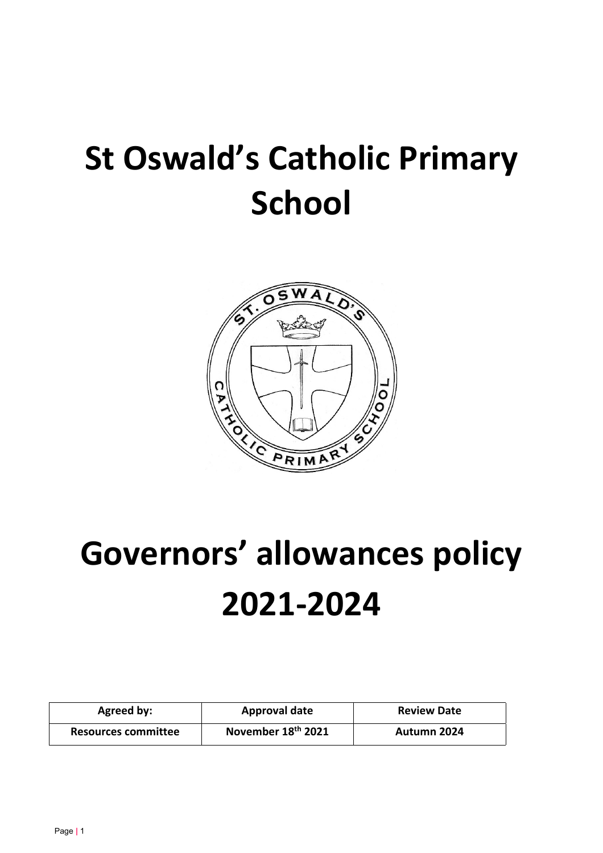## **St Oswald's Catholic Primary School**



# **Governors' allowances policy 2021-2024**

| Agreed by:          | Approval date                  | <b>Review Date</b> |
|---------------------|--------------------------------|--------------------|
| Resources committee | November 18 <sup>th</sup> 2021 | Autumn 2024        |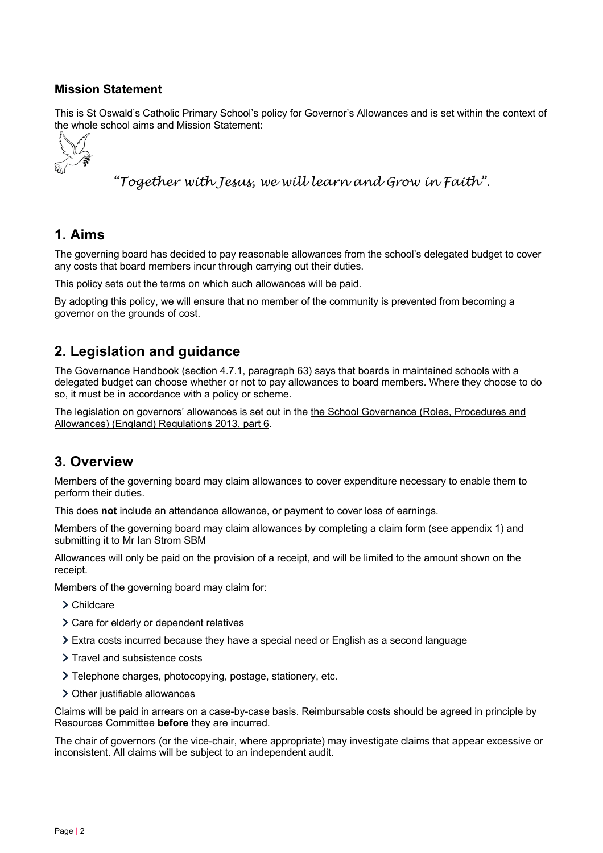#### **Mission Statement**

This is St Oswald's Catholic Primary School's policy for Governor's Allowances and is set within the context of the whole school aims and Mission Statement:



*"Together with Jesus, we will learn and Grow in Faith".*

#### **1. Aims**

The governing board has decided to pay reasonable allowances from the school's delegated budget to cover any costs that board members incur through carrying out their duties.

This policy sets out the terms on which such allowances will be paid.

By adopting this policy, we will ensure that no member of the community is prevented from becoming a governor on the grounds of cost.

#### **2. Legislation and guidance**

The Governance Handbook (section 4.7.1, paragraph 63) says that boards in maintained schools with a delegated budget can choose whether or not to pay allowances to board members. Where they choose to do so, it must be in accordance with a policy or scheme.

The legislation on governors' allowances is set out in the the School Governance (Roles, Procedures and Allowances) (England) Regulations 2013, part 6.

#### **3. Overview**

Members of the governing board may claim allowances to cover expenditure necessary to enable them to perform their duties.

This does **not** include an attendance allowance, or payment to cover loss of earnings.

Members of the governing board may claim allowances by completing a claim form (see appendix 1) and submitting it to Mr Ian Strom SBM

Allowances will only be paid on the provision of a receipt, and will be limited to the amount shown on the receipt.

Members of the governing board may claim for:

- > Childcare
- Care for elderly or dependent relatives
- Extra costs incurred because they have a special need or English as a second language
- > Travel and subsistence costs
- Telephone charges, photocopying, postage, stationery, etc.
- > Other justifiable allowances

Claims will be paid in arrears on a case-by-case basis. Reimbursable costs should be agreed in principle by Resources Committee **before** they are incurred.

The chair of governors (or the vice-chair, where appropriate) may investigate claims that appear excessive or inconsistent. All claims will be subject to an independent audit.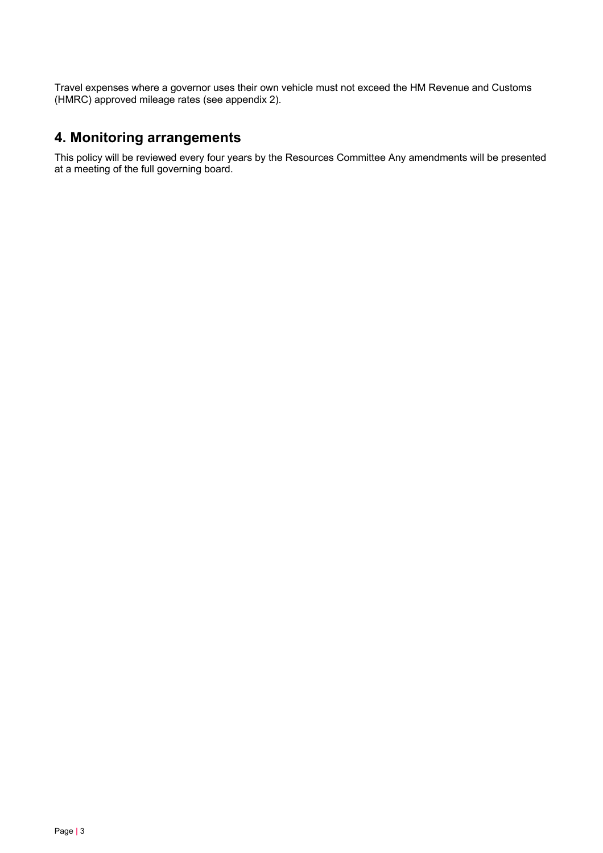Travel expenses where a governor uses their own vehicle must not exceed the HM Revenue and Customs (HMRC) approved mileage rates (see appendix 2).

#### **4. Monitoring arrangements**

This policy will be reviewed every four years by the Resources Committee Any amendments will be presented at a meeting of the full governing board.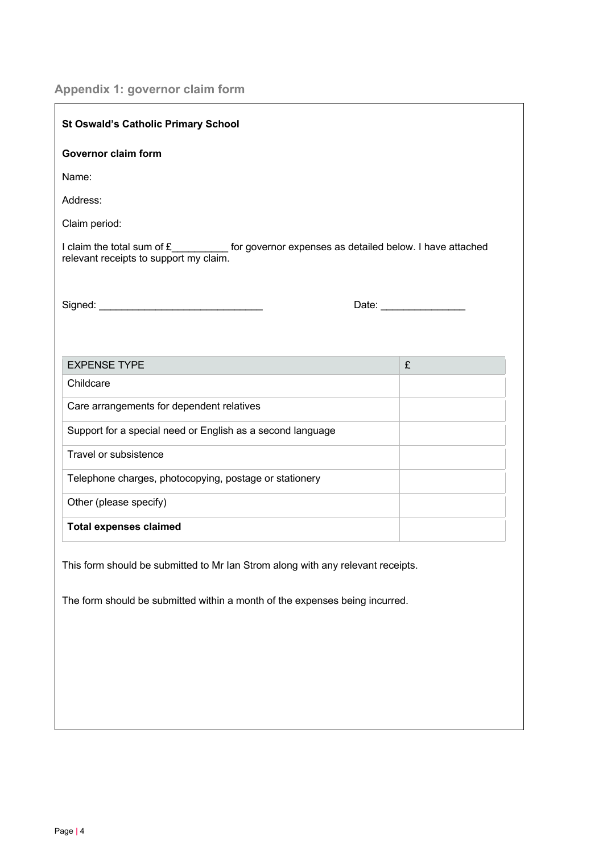## **Appendix 1: governor claim form**

 $\overline{a}$ 

| <b>St Oswald's Catholic Primary School</b>                                                                                                                     |   |  |
|----------------------------------------------------------------------------------------------------------------------------------------------------------------|---|--|
| <b>Governor claim form</b>                                                                                                                                     |   |  |
| Name:                                                                                                                                                          |   |  |
| Address:                                                                                                                                                       |   |  |
| Claim period:                                                                                                                                                  |   |  |
| I claim the total sum of £___________ for governor expenses as detailed below. I have attached<br>relevant receipts to support my claim.                       |   |  |
|                                                                                                                                                                |   |  |
|                                                                                                                                                                |   |  |
| <b>EXPENSE TYPE</b>                                                                                                                                            | £ |  |
| Childcare                                                                                                                                                      |   |  |
| Care arrangements for dependent relatives                                                                                                                      |   |  |
| Support for a special need or English as a second language                                                                                                     |   |  |
| Travel or subsistence                                                                                                                                          |   |  |
| Telephone charges, photocopying, postage or stationery                                                                                                         |   |  |
| Other (please specify)                                                                                                                                         |   |  |
| <b>Total expenses claimed</b>                                                                                                                                  |   |  |
| This form should be submitted to Mr Ian Strom along with any relevant receipts.<br>The form should be submitted within a month of the expenses being incurred. |   |  |
|                                                                                                                                                                |   |  |